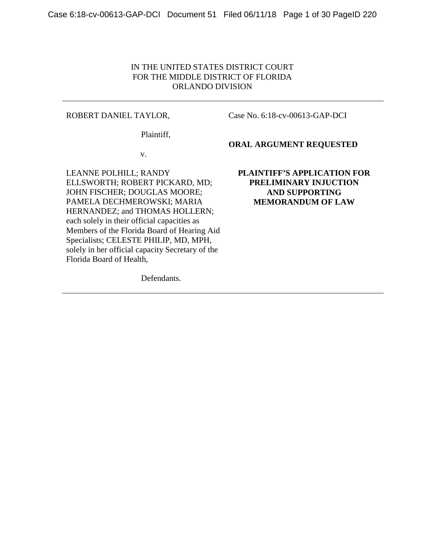## IN THE UNITED STATES DISTRICT COURT FOR THE MIDDLE DISTRICT OF FLORIDA ORLANDO DIVISION

#### ROBERT DANIEL TAYLOR,

Case No. 6:18-cv-00613-GAP-DCI

Plaintiff,

**ORAL ARGUMENT REQUESTED**

v.

LEANNE POLHILL; RANDY ELLSWORTH; ROBERT PICKARD, MD; JOHN FISCHER; DOUGLAS MOORE; PAMELA DECHMEROWSKI; MARIA HERNANDEZ; and THOMAS HOLLERN; each solely in their official capacities as Members of the Florida Board of Hearing Aid Specialists; CELESTE PHILIP, MD, MPH, solely in her official capacity Secretary of the Florida Board of Health,

Defendants.

## **PLAINTIFF'S APPLICATION FOR PRELIMINARY INJUCTION AND SUPPORTING MEMORANDUM OF LAW**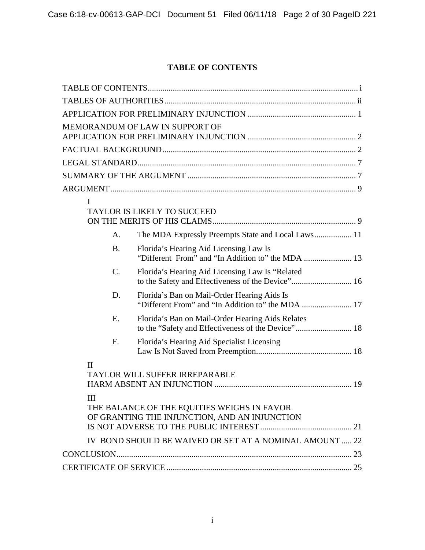# **TABLE OF CONTENTS**

<span id="page-1-0"></span>

|                                                                                              | MEMORANDUM OF LAW IN SUPPORT OF                         |  |
|----------------------------------------------------------------------------------------------|---------------------------------------------------------|--|
|                                                                                              |                                                         |  |
|                                                                                              |                                                         |  |
|                                                                                              |                                                         |  |
|                                                                                              |                                                         |  |
| I                                                                                            |                                                         |  |
|                                                                                              | <b>TAYLOR IS LIKELY TO SUCCEED</b>                      |  |
| A.                                                                                           | The MDA Expressly Preempts State and Local Laws 11      |  |
| <b>B.</b>                                                                                    | Florida's Hearing Aid Licensing Law Is                  |  |
| $\mathcal{C}$ .                                                                              | Florida's Hearing Aid Licensing Law Is "Related"        |  |
| D.                                                                                           | Florida's Ban on Mail-Order Hearing Aids Is             |  |
| E.                                                                                           | Florida's Ban on Mail-Order Hearing Aids Relates        |  |
| F.                                                                                           | Florida's Hearing Aid Specialist Licensing              |  |
| $\rm II$                                                                                     | TAYLOR WILL SUFFER IRREPARABLE                          |  |
| III                                                                                          |                                                         |  |
| THE BALANCE OF THE EQUITIES WEIGHS IN FAVOR<br>OF GRANTING THE INJUNCTION, AND AN INJUNCTION |                                                         |  |
|                                                                                              |                                                         |  |
|                                                                                              | IV BOND SHOULD BE WAIVED OR SET AT A NOMINAL AMOUNT  22 |  |
|                                                                                              |                                                         |  |
|                                                                                              |                                                         |  |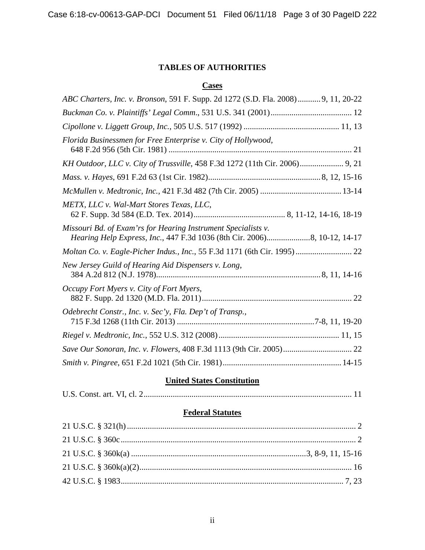# **TABLES OF AUTHORITIES**

# **Cases**

<span id="page-2-0"></span>

# **United States Constitution**

|--|--|

# **Federal Statutes**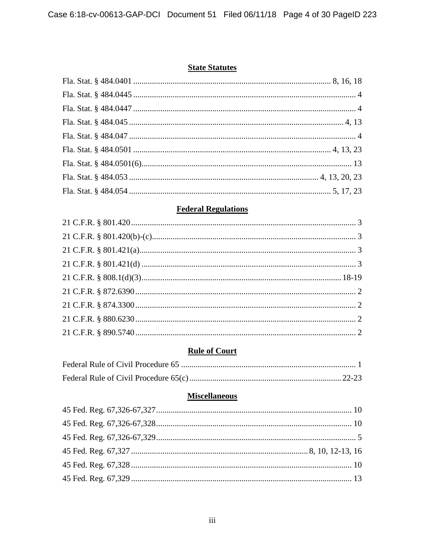# **State Statutes**

# **Federal Regulations**

## **Rule of Court**

# **Miscellaneous**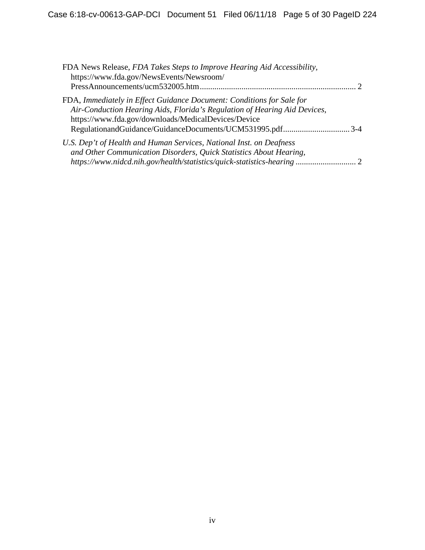| FDA News Release, FDA Takes Steps to Improve Hearing Aid Accessibility,<br>https://www.fda.gov/NewsEvents/Newsroom/ |               |
|---------------------------------------------------------------------------------------------------------------------|---------------|
|                                                                                                                     | $\mathcal{D}$ |
| FDA, Immediately in Effect Guidance Document: Conditions for Sale for                                               |               |
| Air-Conduction Hearing Aids, Florida's Regulation of Hearing Aid Devices,                                           |               |
| https://www.fda.gov/downloads/MedicalDevices/Device                                                                 |               |
| RegulationandGuidance/GuidanceDocuments/UCM531995.pdf3-4                                                            |               |
| U.S. Dep't of Health and Human Services, National Inst. on Deafness                                                 |               |
| and Other Communication Disorders, Quick Statistics About Hearing,                                                  |               |
| https://www.nidcd.nih.gov/health/statistics/quick-statistics-hearing 2                                              |               |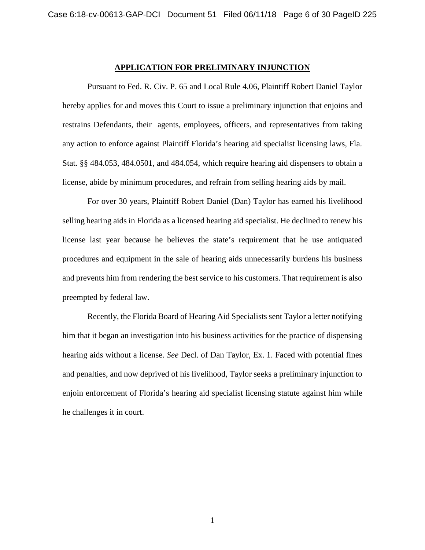#### **APPLICATION FOR PRELIMINARY INJUNCTION**

Pursuant to Fed. R. Civ. P. 65 and Local Rule 4.06, Plaintiff Robert Daniel Taylor hereby applies for and moves this Court to issue a preliminary injunction that enjoins and restrains Defendants, their agents, employees, officers, and representatives from taking any action to enforce against Plaintiff Florida's hearing aid specialist licensing laws, Fla. Stat. §§ 484.053, 484.0501, and 484.054, which require hearing aid dispensers to obtain a license, abide by minimum procedures, and refrain from selling hearing aids by mail.

For over 30 years, Plaintiff Robert Daniel (Dan) Taylor has earned his livelihood selling hearing aids in Florida as a licensed hearing aid specialist. He declined to renew his license last year because he believes the state's requirement that he use antiquated procedures and equipment in the sale of hearing aids unnecessarily burdens his business and prevents him from rendering the best service to his customers. That requirement is also preempted by federal law.

Recently, the Florida Board of Hearing Aid Specialists sent Taylor a letter notifying him that it began an investigation into his business activities for the practice of dispensing hearing aids without a license. *See* Decl. of Dan Taylor, Ex. 1. Faced with potential fines and penalties, and now deprived of his livelihood, Taylor seeks a preliminary injunction to enjoin enforcement of Florida's hearing aid specialist licensing statute against him while he challenges it in court.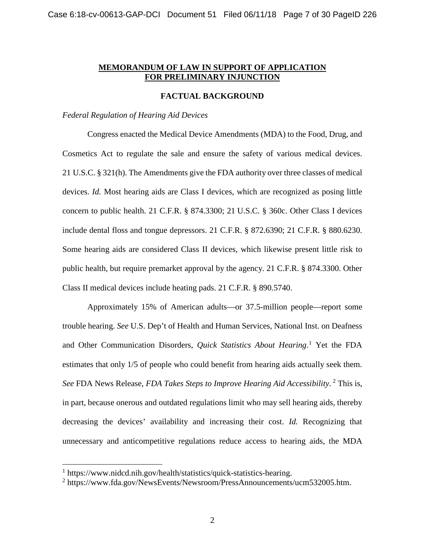#### **MEMORANDUM OF LAW IN SUPPORT OF APPLICATION FOR PRELIMINARY INJUNCTION**

#### **FACTUAL BACKGROUND**

#### *Federal Regulation of Hearing Aid Devices*

Congress enacted the Medical Device Amendments (MDA) to the Food, Drug, and Cosmetics Act to regulate the sale and ensure the safety of various medical devices. 21 U.S.C. § 321(h). The Amendments give the FDA authority over three classes of medical devices. *Id.* Most hearing aids are Class I devices, which are recognized as posing little concern to public health. 21 C.F.R. § 874.3300; 21 U.S.C. § 360c. Other Class I devices include dental floss and tongue depressors. 21 C.F.R. § 872.6390; 21 C.F.R. § 880.6230. Some hearing aids are considered Class II devices, which likewise present little risk to public health, but require premarket approval by the agency. 21 C.F.R. § 874.3300. Other Class II medical devices include heating pads. 21 C.F.R. § 890.5740.

Approximately 15% of American adults—or 37.5-million people—report some trouble hearing. *See* U.S. Dep't of Health and Human Services, National Inst. on Deafness and Other Communication Disorders, *Quick Statistics About Hearing*. [1](#page-7-0) Yet the FDA estimates that only 1/5 of people who could benefit from hearing aids actually seek them. *See* FDA News Release, *FDA Takes Steps to Improve Hearing Aid Accessibility*. [2](#page-7-1) This is, in part, because onerous and outdated regulations limit who may sell hearing aids, thereby decreasing the devices' availability and increasing their cost. *Id.* Recognizing that unnecessary and anticompetitive regulations reduce access to hearing aids, the MDA

 <sup>1</sup> https://www.nidcd.nih.gov/health/statistics/quick-statistics-hearing.

<sup>&</sup>lt;sup>2</sup> https://www.fda.gov/NewsEvents/Newsroom/PressAnnouncements/ucm532005.htm.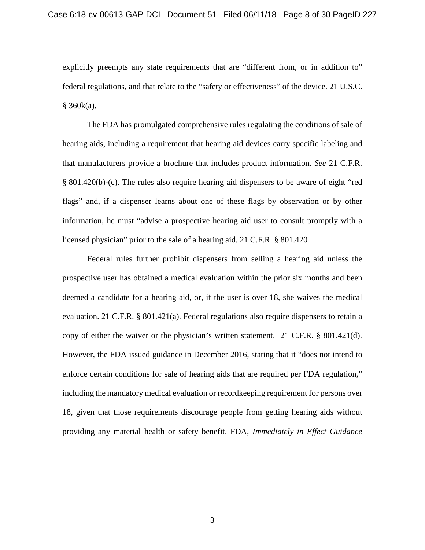explicitly preempts any state requirements that are "different from, or in addition to" federal regulations, and that relate to the "safety or effectiveness" of the device. 21 U.S.C.  $§$  360 $k(a)$ .

The FDA has promulgated comprehensive rules regulating the conditions of sale of hearing aids, including a requirement that hearing aid devices carry specific labeling and that manufacturers provide a brochure that includes product information. *See* 21 C.F.R. § 801.420(b)-(c). The rules also require hearing aid dispensers to be aware of eight "red flags" and, if a dispenser learns about one of these flags by observation or by other information, he must "advise a prospective hearing aid user to consult promptly with a licensed physician" prior to the sale of a hearing aid. 21 C.F.R. § 801.420

<span id="page-7-1"></span><span id="page-7-0"></span>Federal rules further prohibit dispensers from selling a hearing aid unless the prospective user has obtained a medical evaluation within the prior six months and been deemed a candidate for a hearing aid, or, if the user is over 18, she waives the medical evaluation. 21 C.F.R. § 801.421(a). Federal regulations also require dispensers to retain a copy of either the waiver or the physician's written statement. 21 C.F.R. § 801.421(d). However, the FDA issued guidance in December 2016, stating that it "does not intend to enforce certain conditions for sale of hearing aids that are required per FDA regulation," including the mandatory medical evaluation or recordkeeping requirement for persons over 18, given that those requirements discourage people from getting hearing aids without providing any material health or safety benefit. FDA, *Immediately in Effect Guidance*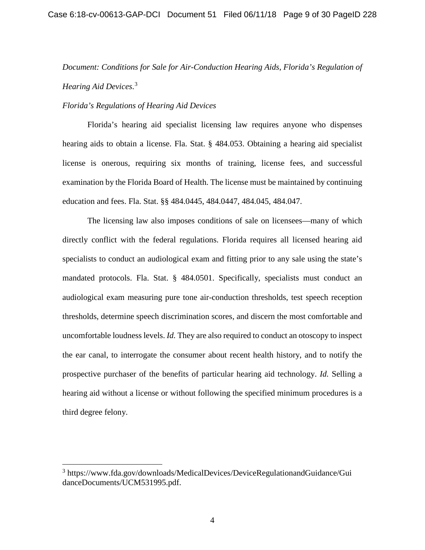# *Document: Conditions for Sale for Air-Conduction Hearing Aids*, *Florida's Regulation of Hearing Aid Devices*. [3](#page-8-0)

#### *Florida's Regulations of Hearing Aid Devices*

Florida's hearing aid specialist licensing law requires anyone who dispenses hearing aids to obtain a license. Fla. Stat. § 484.053. Obtaining a hearing aid specialist license is onerous, requiring six months of training, license fees, and successful examination by the Florida Board of Health. The license must be maintained by continuing education and fees. Fla. Stat. §§ 484.0445, 484.0447, 484.045, 484.047.

The licensing law also imposes conditions of sale on licensees—many of which directly conflict with the federal regulations. Florida requires all licensed hearing aid specialists to conduct an audiological exam and fitting prior to any sale using the state's mandated protocols. Fla. Stat. § 484.0501. Specifically, specialists must conduct an audiological exam measuring pure tone air-conduction thresholds, test speech reception thresholds, determine speech discrimination scores, and discern the most comfortable and uncomfortable loudness levels. *Id.* They are also required to conduct an otoscopy to inspect the ear canal, to interrogate the consumer about recent health history, and to notify the prospective purchaser of the benefits of particular hearing aid technology. *Id.* Selling a hearing aid without a license or without following the specified minimum procedures is a third degree felony.

<span id="page-8-0"></span> <sup>3</sup> https://www.fda.gov/downloads/MedicalDevices/DeviceRegulationandGuidance/Gui danceDocuments/UCM531995.pdf.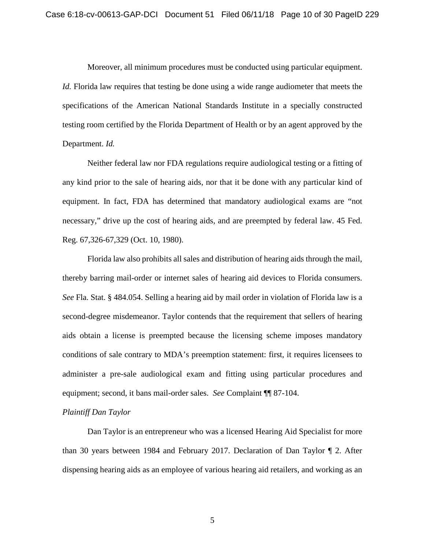Moreover, all minimum procedures must be conducted using particular equipment. *Id.* Florida law requires that testing be done using a wide range audiometer that meets the specifications of the American National Standards Institute in a specially constructed testing room certified by the Florida Department of Health or by an agent approved by the Department. *Id.*

Neither federal law nor FDA regulations require audiological testing or a fitting of any kind prior to the sale of hearing aids, nor that it be done with any particular kind of equipment. In fact, FDA has determined that mandatory audiological exams are "not necessary," drive up the cost of hearing aids, and are preempted by federal law. 45 Fed. Reg. 67,326-67,329 (Oct. 10, 1980).

Florida law also prohibits all sales and distribution of hearing aids through the mail, thereby barring mail-order or internet sales of hearing aid devices to Florida consumers. *See* Fla. Stat. § 484.054. Selling a hearing aid by mail order in violation of Florida law is a second-degree misdemeanor. Taylor contends that the requirement that sellers of hearing aids obtain a license is preempted because the licensing scheme imposes mandatory conditions of sale contrary to MDA's preemption statement: first, it requires licensees to administer a pre-sale audiological exam and fitting using particular procedures and equipment; second, it bans mail-order sales. *See* Complaint ¶¶ 87-104.

## *Plaintiff Dan Taylor*

Dan Taylor is an entrepreneur who was a licensed Hearing Aid Specialist for more than 30 years between 1984 and February 2017. Declaration of Dan Taylor ¶ 2. After dispensing hearing aids as an employee of various hearing aid retailers, and working as an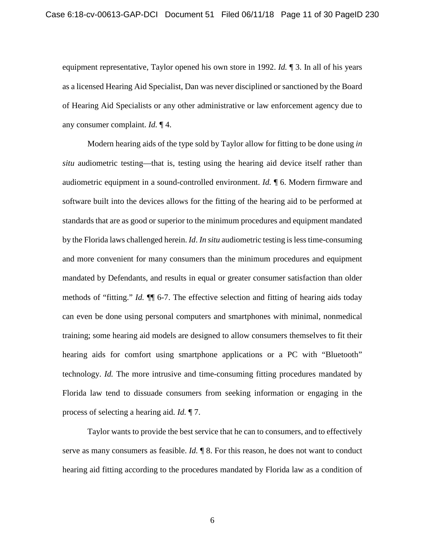equipment representative, Taylor opened his own store in 1992. *Id.* ¶ 3. In all of his years as a licensed Hearing Aid Specialist, Dan was never disciplined or sanctioned by the Board of Hearing Aid Specialists or any other administrative or law enforcement agency due to any consumer complaint. *Id.* ¶ 4.

Modern hearing aids of the type sold by Taylor allow for fitting to be done using *in situ* audiometric testing—that is, testing using the hearing aid device itself rather than audiometric equipment in a sound-controlled environment. *Id.* ¶ 6. Modern firmware and software built into the devices allows for the fitting of the hearing aid to be performed at standards that are as good or superior to the minimum procedures and equipment mandated by the Florida laws challenged herein. *Id*. *In situ* audiometric testing is less time-consuming and more convenient for many consumers than the minimum procedures and equipment mandated by Defendants, and results in equal or greater consumer satisfaction than older methods of "fitting." *Id.* ¶¶ 6-7. The effective selection and fitting of hearing aids today can even be done using personal computers and smartphones with minimal, nonmedical training; some hearing aid models are designed to allow consumers themselves to fit their hearing aids for comfort using smartphone applications or a PC with "Bluetooth" technology. *Id.* The more intrusive and time-consuming fitting procedures mandated by Florida law tend to dissuade consumers from seeking information or engaging in the process of selecting a hearing aid. *Id.* ¶ 7.

Taylor wants to provide the best service that he can to consumers, and to effectively serve as many consumers as feasible. *Id.*  $\parallel$  8. For this reason, he does not want to conduct hearing aid fitting according to the procedures mandated by Florida law as a condition of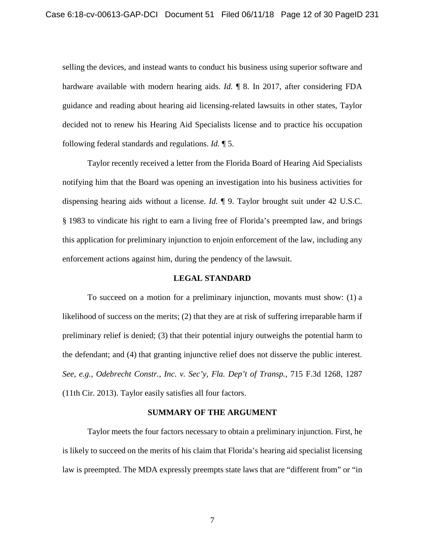selling the devices, and instead wants to conduct his business using superior software and hardware available with modern hearing aids. *Id.* ¶ 8. In 2017, after considering FDA guidance and reading about hearing aid licensing-related lawsuits in other states, Taylor decided not to renew his Hearing Aid Specialists license and to practice his occupation following federal standards and regulations. *Id.* ¶ 5.

Taylor recently received a letter from the Florida Board of Hearing Aid Specialists notifying him that the Board was opening an investigation into his business activities for dispensing hearing aids without a license. *Id.* ¶ 9. Taylor brought suit under 42 U.S.C. § 1983 to vindicate his right to earn a living free of Florida's preempted law, and brings this application for preliminary injunction to enjoin enforcement of the law, including any enforcement actions against him, during the pendency of the lawsuit.

#### **LEGAL STANDARD**

<span id="page-11-0"></span>To succeed on a motion for a preliminary injunction, movants must show: (1) a likelihood of success on the merits; (2) that they are at risk of suffering irreparable harm if preliminary relief is denied; (3) that their potential injury outweighs the potential harm to the defendant; and (4) that granting injunctive relief does not disserve the public interest. *See, e.g.*, *Odebrecht Constr., Inc. v. Sec'y, Fla. Dep't of Transp.,* 715 F.3d 1268, 1287 (11th Cir. 2013). Taylor easily satisfies all four factors.

#### **SUMMARY OF THE ARGUMENT**

<span id="page-11-1"></span>Taylor meets the four factors necessary to obtain a preliminary injunction. First, he is likely to succeed on the merits of his claim that Florida's hearing aid specialist licensing law is preempted. The MDA expressly preempts state laws that are "different from" or "in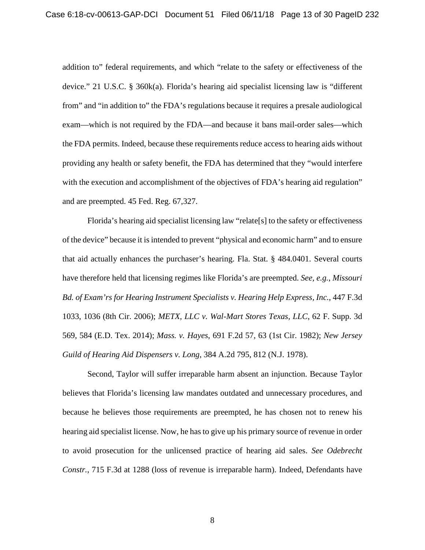addition to" federal requirements, and which "relate to the safety or effectiveness of the device." 21 U.S.C. § 360k(a). Florida's hearing aid specialist licensing law is "different from" and "in addition to" the FDA's regulations because it requires a presale audiological exam—which is not required by the FDA—and because it bans mail-order sales—which the FDA permits. Indeed, because these requirements reduce access to hearing aids without providing any health or safety benefit, the FDA has determined that they "would interfere with the execution and accomplishment of the objectives of FDA's hearing aid regulation" and are preempted. 45 Fed. Reg. 67,327.

Florida's hearing aid specialist licensing law "relate[s] to the safety or effectiveness of the device" because it is intended to prevent "physical and economic harm" and to ensure that aid actually enhances the purchaser's hearing. Fla. Stat. § 484.0401. Several courts have therefore held that licensing regimes like Florida's are preempted. *See, e.g.*, *Missouri Bd. of Exam'rs for Hearing Instrument Specialists v. Hearing Help Express, Inc.*, 447 F.3d 1033, 1036 (8th Cir. 2006); *METX, LLC v. Wal-Mart Stores Texas, LLC*, 62 F. Supp. 3d 569, 584 (E.D. Tex. 2014); *Mass. v. Hayes*, 691 F.2d 57, 63 (1st Cir. 1982); *New Jersey Guild of Hearing Aid Dispensers v. Long*, 384 A.2d 795, 812 (N.J. 1978).

Second, Taylor will suffer irreparable harm absent an injunction. Because Taylor believes that Florida's licensing law mandates outdated and unnecessary procedures, and because he believes those requirements are preempted, he has chosen not to renew his hearing aid specialist license. Now, he has to give up his primary source of revenue in order to avoid prosecution for the unlicensed practice of hearing aid sales. *See Odebrecht Constr.*, 715 F.3d at 1288 (loss of revenue is irreparable harm). Indeed, Defendants have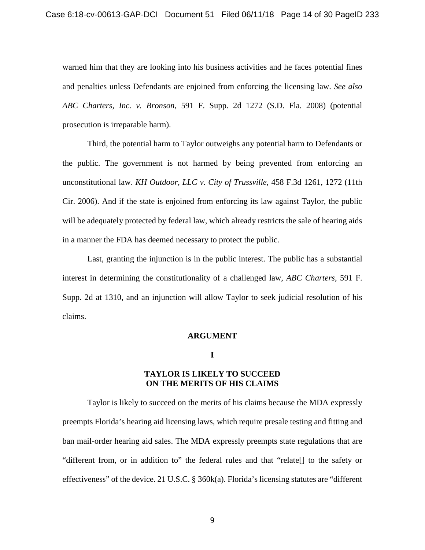warned him that they are looking into his business activities and he faces potential fines and penalties unless Defendants are enjoined from enforcing the licensing law. *See also ABC Charters, Inc. v. Bronson*, 591 F. Supp. 2d 1272 (S.D. Fla. 2008) (potential prosecution is irreparable harm).

Third, the potential harm to Taylor outweighs any potential harm to Defendants or the public. The government is not harmed by being prevented from enforcing an unconstitutional law. *KH Outdoor, LLC v. City of Trussville*, 458 F.3d 1261, 1272 (11th Cir. 2006). And if the state is enjoined from enforcing its law against Taylor, the public will be adequately protected by federal law, which already restricts the sale of hearing aids in a manner the FDA has deemed necessary to protect the public.

Last, granting the injunction is in the public interest. The public has a substantial interest in determining the constitutionality of a challenged law, *ABC Charters*, 591 F. Supp. 2d at 1310, and an injunction will allow Taylor to seek judicial resolution of his claims.

#### **ARGUMENT**

**I**

## **TAYLOR IS LIKELY TO SUCCEED ON THE MERITS OF HIS CLAIMS**

<span id="page-13-1"></span><span id="page-13-0"></span>Taylor is likely to succeed on the merits of his claims because the MDA expressly preempts Florida's hearing aid licensing laws, which require presale testing and fitting and ban mail-order hearing aid sales. The MDA expressly preempts state regulations that are "different from, or in addition to" the federal rules and that "relate[] to the safety or effectiveness" of the device. 21 U.S.C. § 360k(a). Florida's licensing statutes are "different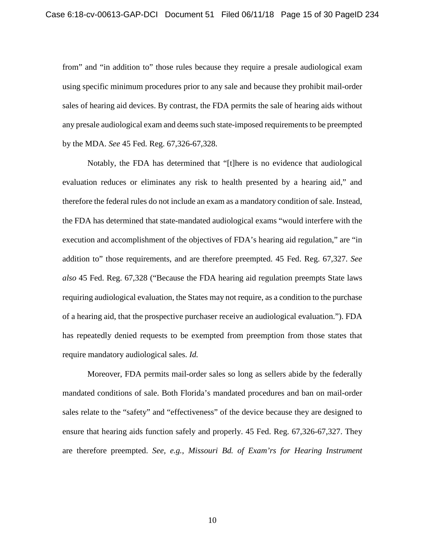from" and "in addition to" those rules because they require a presale audiological exam using specific minimum procedures prior to any sale and because they prohibit mail-order sales of hearing aid devices. By contrast, the FDA permits the sale of hearing aids without any presale audiological exam and deems such state-imposed requirements to be preempted by the MDA. *See* 45 Fed. Reg. 67,326-67,328.

Notably, the FDA has determined that "[t]here is no evidence that audiological evaluation reduces or eliminates any risk to health presented by a hearing aid," and therefore the federal rules do not include an exam as a mandatory condition of sale. Instead, the FDA has determined that state-mandated audiological exams "would interfere with the execution and accomplishment of the objectives of FDA's hearing aid regulation," are "in addition to" those requirements, and are therefore preempted. 45 Fed. Reg. 67,327. *See also* 45 Fed. Reg. 67,328 ("Because the FDA hearing aid regulation preempts State laws requiring audiological evaluation, the States may not require, as a condition to the purchase of a hearing aid, that the prospective purchaser receive an audiological evaluation."). FDA has repeatedly denied requests to be exempted from preemption from those states that require mandatory audiological sales. *Id.*

Moreover, FDA permits mail-order sales so long as sellers abide by the federally mandated conditions of sale. Both Florida's mandated procedures and ban on mail-order sales relate to the "safety" and "effectiveness" of the device because they are designed to ensure that hearing aids function safely and properly. 45 Fed. Reg. 67,326-67,327. They are therefore preempted. *See, e.g.*, *Missouri Bd. of Exam'rs for Hearing Instrument*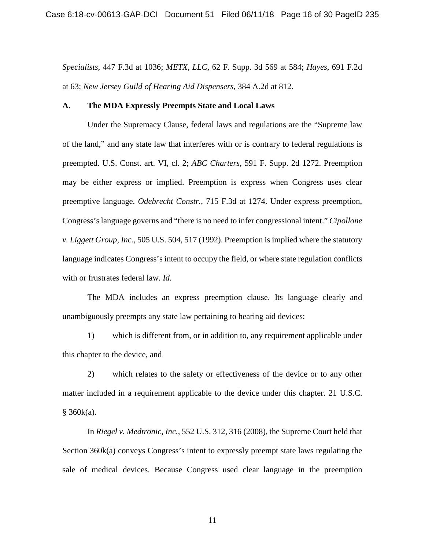*Specialists*, 447 F.3d at 1036; *METX, LLC*, 62 F. Supp. 3d 569 at 584; *Hayes*, 691 F.2d at 63; *New Jersey Guild of Hearing Aid Dispensers*, 384 A.2d at 812.

#### <span id="page-15-0"></span>**A. The MDA Expressly Preempts State and Local Laws**

Under the Supremacy Clause, federal laws and regulations are the "Supreme law of the land," and any state law that interferes with or is contrary to federal regulations is preempted. U.S. Const. art. VI, cl. 2; *ABC Charters*, 591 F. Supp. 2d 1272. Preemption may be either express or implied. Preemption is express when Congress uses clear preemptive language. *Odebrecht Constr.*, 715 F.3d at 1274. Under express preemption, Congress'slanguage governs and "there is no need to infer congressional intent." *Cipollone v. Liggett Group, Inc.*, 505 U.S. 504, 517 (1992). Preemption is implied where the statutory language indicates Congress's intent to occupy the field, or where state regulation conflicts with or frustrates federal law. *Id.*

The MDA includes an express preemption clause. Its language clearly and unambiguously preempts any state law pertaining to hearing aid devices:

1) which is different from, or in addition to, any requirement applicable under this chapter to the device, and

2) which relates to the safety or effectiveness of the device or to any other matter included in a requirement applicable to the device under this chapter. 21 U.S.C.  $§ 360k(a).$ 

In *Riegel v. Medtronic, Inc.*, 552 U.S. 312, 316 (2008), the Supreme Court held that Section 360k(a) conveys Congress's intent to expressly preempt state laws regulating the sale of medical devices. Because Congress used clear language in the preemption

11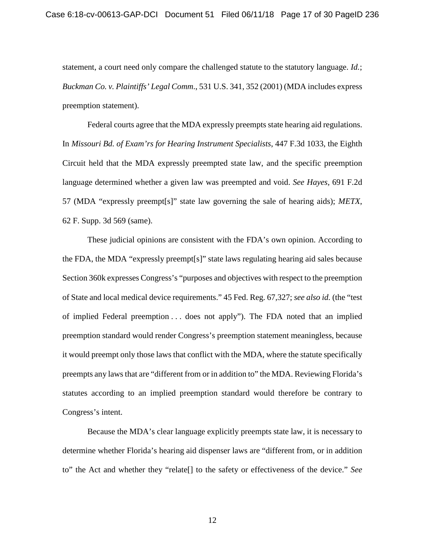statement, a court need only compare the challenged statute to the statutory language. *Id.*; *Buckman Co. v. Plaintiffs' Legal Comm*., 531 U.S. 341, 352 (2001) (MDA includes express preemption statement).

Federal courts agree that the MDA expressly preempts state hearing aid regulations. In *Missouri Bd. of Exam'rs for Hearing Instrument Specialists*, 447 F.3d 1033, the Eighth Circuit held that the MDA expressly preempted state law, and the specific preemption language determined whether a given law was preempted and void. *See Hayes*, 691 F.2d 57 (MDA "expressly preempt[s]" state law governing the sale of hearing aids); *METX*, 62 F. Supp. 3d 569 (same).

These judicial opinions are consistent with the FDA's own opinion. According to the FDA, the MDA "expressly preempt[s]" state laws regulating hearing aid sales because Section 360k expresses Congress's "purposes and objectives with respect to the preemption of State and local medical device requirements." 45 Fed. Reg. 67,327; *see also id.* (the "test of implied Federal preemption . . . does not apply"). The FDA noted that an implied preemption standard would render Congress's preemption statement meaningless, because it would preempt only those laws that conflict with the MDA, where the statute specifically preempts any laws that are "different from or in addition to" the MDA. Reviewing Florida's statutes according to an implied preemption standard would therefore be contrary to Congress's intent.

Because the MDA's clear language explicitly preempts state law, it is necessary to determine whether Florida's hearing aid dispenser laws are "different from, or in addition to" the Act and whether they "relate[] to the safety or effectiveness of the device." *See*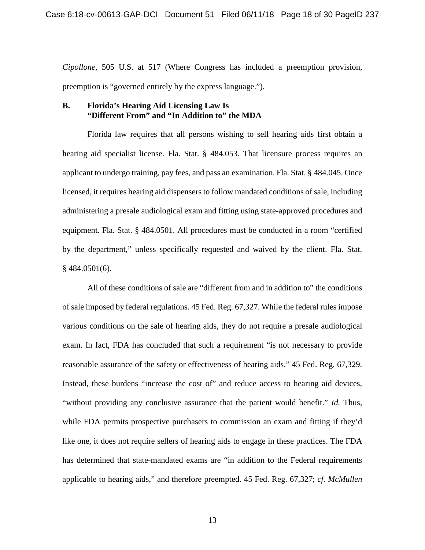*Cipollone*, 505 U.S. at 517 (Where Congress has included a preemption provision, preemption is "governed entirely by the express language.").

#### <span id="page-17-0"></span>**B. Florida's Hearing Aid Licensing Law Is "Different From" and "In Addition to" the MDA**

Florida law requires that all persons wishing to sell hearing aids first obtain a hearing aid specialist license. Fla. Stat. § 484.053. That licensure process requires an applicant to undergo training, pay fees, and pass an examination. Fla. Stat. § 484.045. Once licensed, it requires hearing aid dispensers to follow mandated conditions of sale, including administering a presale audiological exam and fitting using state-approved procedures and equipment. Fla. Stat. § 484.0501. All procedures must be conducted in a room "certified by the department," unless specifically requested and waived by the client. Fla. Stat. § 484.0501(6).

All of these conditions of sale are "different from and in addition to" the conditions of sale imposed by federal regulations. 45 Fed. Reg. 67,327. While the federal rules impose various conditions on the sale of hearing aids, they do not require a presale audiological exam. In fact, FDA has concluded that such a requirement "is not necessary to provide reasonable assurance of the safety or effectiveness of hearing aids." 45 Fed. Reg. 67,329. Instead, these burdens "increase the cost of" and reduce access to hearing aid devices, "without providing any conclusive assurance that the patient would benefit." *Id.* Thus, while FDA permits prospective purchasers to commission an exam and fitting if they'd like one, it does not require sellers of hearing aids to engage in these practices. The FDA has determined that state-mandated exams are "in addition to the Federal requirements applicable to hearing aids," and therefore preempted. 45 Fed. Reg. 67,327; *cf. McMullen*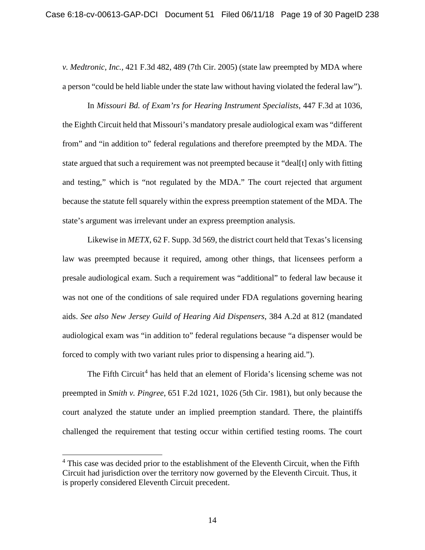*v. Medtronic, Inc.,* 421 F.3d 482, 489 (7th Cir. 2005) (state law preempted by MDA where a person "could be held liable under the state law without having violated the federal law").

In *Missouri Bd. of Exam'rs for Hearing Instrument Specialists*, 447 F.3d at 1036, the Eighth Circuit held that Missouri's mandatory presale audiological exam was "different from" and "in addition to" federal regulations and therefore preempted by the MDA. The state argued that such a requirement was not preempted because it "deal[t] only with fitting and testing," which is "not regulated by the MDA." The court rejected that argument because the statute fell squarely within the express preemption statement of the MDA. The state's argument was irrelevant under an express preemption analysis.

Likewise in *METX*, 62 F. Supp. 3d 569, the district court held that Texas's licensing law was preempted because it required, among other things, that licensees perform a presale audiological exam. Such a requirement was "additional" to federal law because it was not one of the conditions of sale required under FDA regulations governing hearing aids. *See also New Jersey Guild of Hearing Aid Dispensers*, 384 A.2d at 812 (mandated audiological exam was "in addition to" federal regulations because "a dispenser would be forced to comply with two variant rules prior to dispensing a hearing aid.").

The Fifth Circuit<sup>[4](#page-21-1)</sup> has held that an element of Florida's licensing scheme was not preempted in *Smith v. Pingree*, 651 F.2d 1021, 1026 (5th Cir. 1981), but only because the court analyzed the statute under an implied preemption standard. There, the plaintiffs challenged the requirement that testing occur within certified testing rooms. The court

<sup>&</sup>lt;sup>4</sup> This case was decided prior to the establishment of the Eleventh Circuit, when the Fifth Circuit had jurisdiction over the territory now governed by the Eleventh Circuit. Thus, it is properly considered Eleventh Circuit precedent.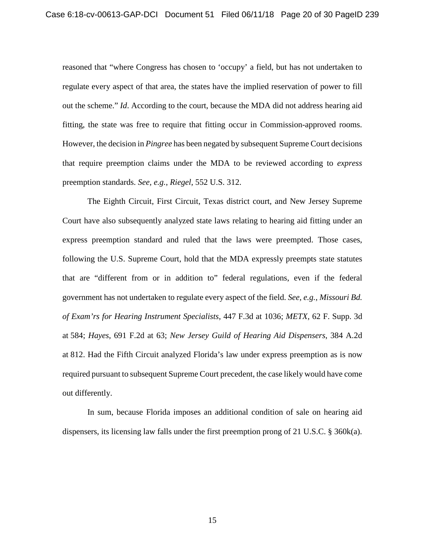reasoned that "where Congress has chosen to 'occupy' a field, but has not undertaken to regulate every aspect of that area, the states have the implied reservation of power to fill out the scheme." *Id*. According to the court, because the MDA did not address hearing aid fitting, the state was free to require that fitting occur in Commission-approved rooms. However, the decision in *Pingree* has been negated by subsequent Supreme Court decisions that require preemption claims under the MDA to be reviewed according to *express* preemption standards. *See, e.g.*, *Riegel*, 552 U.S. 312.

The Eighth Circuit, First Circuit, Texas district court, and New Jersey Supreme Court have also subsequently analyzed state laws relating to hearing aid fitting under an express preemption standard and ruled that the laws were preempted. Those cases, following the U.S. Supreme Court, hold that the MDA expressly preempts state statutes that are "different from or in addition to" federal regulations, even if the federal government has not undertaken to regulate every aspect of the field. *See, e.g.*, *Missouri Bd. of Exam'rs for Hearing Instrument Specialists*, 447 F.3d at 1036; *METX*, 62 F. Supp. 3d at 584; *Hayes*, 691 F.2d at 63; *New Jersey Guild of Hearing Aid Dispensers*, 384 A.2d at 812. Had the Fifth Circuit analyzed Florida's law under express preemption as is now required pursuant to subsequent Supreme Court precedent, the case likely would have come out differently.

In sum, because Florida imposes an additional condition of sale on hearing aid dispensers, its licensing law falls under the first preemption prong of 21 U.S.C. § 360k(a).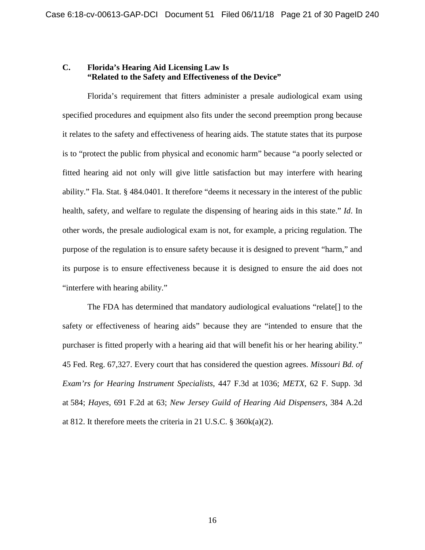## <span id="page-20-0"></span>**C. Florida's Hearing Aid Licensing Law Is "Related to the Safety and Effectiveness of the Device"**

Florida's requirement that fitters administer a presale audiological exam using specified procedures and equipment also fits under the second preemption prong because it relates to the safety and effectiveness of hearing aids. The statute states that its purpose is to "protect the public from physical and economic harm" because "a poorly selected or fitted hearing aid not only will give little satisfaction but may interfere with hearing ability." Fla. Stat. § 484.0401. It therefore "deems it necessary in the interest of the public health, safety, and welfare to regulate the dispensing of hearing aids in this state." *Id*. In other words, the presale audiological exam is not, for example, a pricing regulation. The purpose of the regulation is to ensure safety because it is designed to prevent "harm," and its purpose is to ensure effectiveness because it is designed to ensure the aid does not "interfere with hearing ability."

The FDA has determined that mandatory audiological evaluations "relate[] to the safety or effectiveness of hearing aids" because they are "intended to ensure that the purchaser is fitted properly with a hearing aid that will benefit his or her hearing ability." 45 Fed. Reg. 67,327. Every court that has considered the question agrees. *Missouri Bd. of Exam'rs for Hearing Instrument Specialists*, 447 F.3d at 1036; *METX*, 62 F. Supp. 3d at 584; *Hayes*, 691 F.2d at 63; *New Jersey Guild of Hearing Aid Dispensers*, 384 A.2d at 812. It therefore meets the criteria in 21 U.S.C. § 360k(a)(2).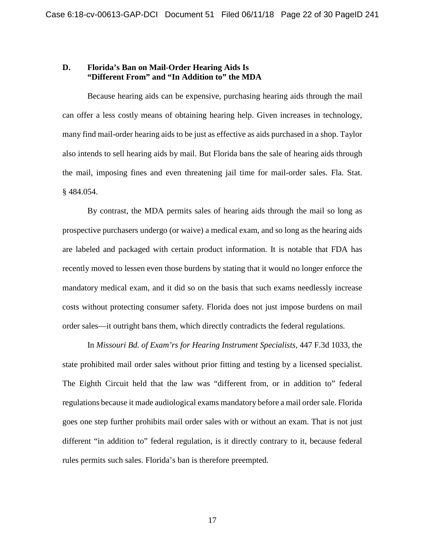#### <span id="page-21-0"></span>**D. Florida's Ban on Mail-Order Hearing Aids Is "Different From" and "In Addition to" the MDA**

Because hearing aids can be expensive, purchasing hearing aids through the mail can offer a less costly means of obtaining hearing help. Given increases in technology, many find mail-order hearing aids to be just as effective as aids purchased in a shop. Taylor also intends to sell hearing aids by mail. But Florida bans the sale of hearing aids through the mail, imposing fines and even threatening jail time for mail-order sales. Fla. Stat. § 484.054.

By contrast, the MDA permits sales of hearing aids through the mail so long as prospective purchasers undergo (or waive) a medical exam, and so long as the hearing aids are labeled and packaged with certain product information. It is notable that FDA has recently moved to lessen even those burdens by stating that it would no longer enforce the mandatory medical exam, and it did so on the basis that such exams needlessly increase costs without protecting consumer safety. Florida does not just impose burdens on mail order sales—it outright bans them, which directly contradicts the federal regulations.

<span id="page-21-1"></span>In *Missouri Bd. of Exam'rs for Hearing Instrument Specialists,* 447 F.3d 1033, the state prohibited mail order sales without prior fitting and testing by a licensed specialist. The Eighth Circuit held that the law was "different from, or in addition to" federal regulations because it made audiological exams mandatory before a mail order sale. Florida goes one step further prohibits mail order sales with or without an exam. That is not just different "in addition to" federal regulation, is it directly contrary to it, because federal rules permits such sales. Florida's ban is therefore preempted.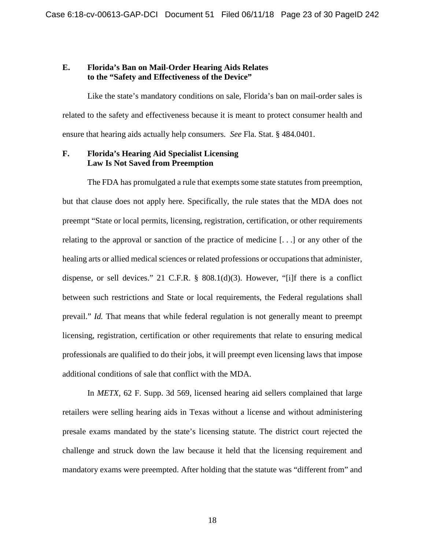#### <span id="page-22-0"></span>**E. Florida's Ban on Mail-Order Hearing Aids Relates to the "Safety and Effectiveness of the Device"**

Like the state's mandatory conditions on sale, Florida's ban on mail-order sales is related to the safety and effectiveness because it is meant to protect consumer health and ensure that hearing aids actually help consumers. *See* Fla. Stat. § 484.0401.

## <span id="page-22-1"></span>**F. Florida's Hearing Aid Specialist Licensing Law Is Not Saved from Preemption**

The FDA has promulgated a rule that exempts some state statutes from preemption, but that clause does not apply here. Specifically, the rule states that the MDA does not preempt "State or local permits, licensing, registration, certification, or other requirements relating to the approval or sanction of the practice of medicine [. . .] or any other of the healing arts or allied medical sciences or related professions or occupations that administer, dispense, or sell devices." 21 C.F.R. § 808.1(d)(3). However, "[i]f there is a conflict between such restrictions and State or local requirements, the Federal regulations shall prevail." *Id.* That means that while federal regulation is not generally meant to preempt licensing, registration, certification or other requirements that relate to ensuring medical professionals are qualified to do their jobs, it will preempt even licensing laws that impose additional conditions of sale that conflict with the MDA.

In *METX*, 62 F. Supp. 3d 569, licensed hearing aid sellers complained that large retailers were selling hearing aids in Texas without a license and without administering presale exams mandated by the state's licensing statute. The district court rejected the challenge and struck down the law because it held that the licensing requirement and mandatory exams were preempted. After holding that the statute was "different from" and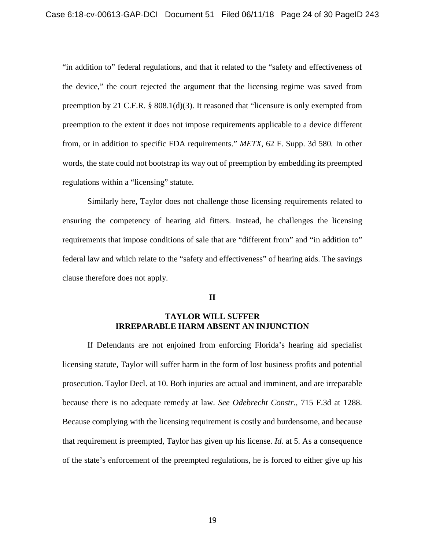"in addition to" federal regulations, and that it related to the "safety and effectiveness of the device," the court rejected the argument that the licensing regime was saved from preemption by 21 C.F.R. § 808.1(d)(3). It reasoned that "licensure is only exempted from preemption to the extent it does not impose requirements applicable to a device different from, or in addition to specific FDA requirements." *METX*, 62 F. Supp. 3d 580*.* In other words, the state could not bootstrap its way out of preemption by embedding its preempted regulations within a "licensing" statute.

Similarly here, Taylor does not challenge those licensing requirements related to ensuring the competency of hearing aid fitters. Instead, he challenges the licensing requirements that impose conditions of sale that are "different from" and "in addition to" federal law and which relate to the "safety and effectiveness" of hearing aids. The savings clause therefore does not apply.

#### **II**

## **TAYLOR WILL SUFFER IRREPARABLE HARM ABSENT AN INJUNCTION**

<span id="page-23-0"></span>If Defendants are not enjoined from enforcing Florida's hearing aid specialist licensing statute, Taylor will suffer harm in the form of lost business profits and potential prosecution. Taylor Decl. at 10. Both injuries are actual and imminent, and are irreparable because there is no adequate remedy at law. *See Odebrecht Constr.*, 715 F.3d at 1288. Because complying with the licensing requirement is costly and burdensome, and because that requirement is preempted, Taylor has given up his license. *Id.* at 5. As a consequence of the state's enforcement of the preempted regulations, he is forced to either give up his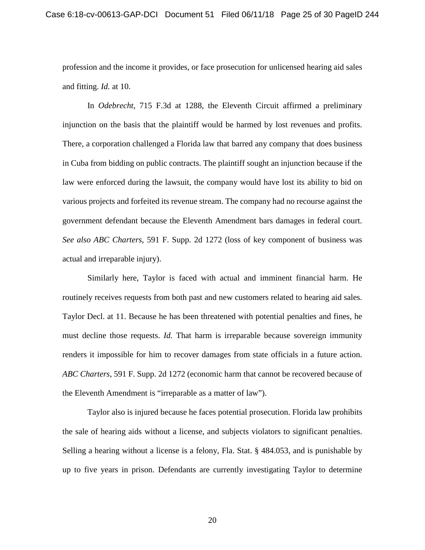profession and the income it provides, or face prosecution for unlicensed hearing aid sales and fitting. *Id.* at 10.

In *Odebrecht*, 715 F.3d at 1288, the Eleventh Circuit affirmed a preliminary injunction on the basis that the plaintiff would be harmed by lost revenues and profits. There, a corporation challenged a Florida law that barred any company that does business in Cuba from bidding on public contracts. The plaintiff sought an injunction because if the law were enforced during the lawsuit, the company would have lost its ability to bid on various projects and forfeited its revenue stream. The company had no recourse against the government defendant because the Eleventh Amendment bars damages in federal court. *See also ABC Charters*, 591 F. Supp. 2d 1272 (loss of key component of business was actual and irreparable injury).

Similarly here, Taylor is faced with actual and imminent financial harm. He routinely receives requests from both past and new customers related to hearing aid sales. Taylor Decl. at 11. Because he has been threatened with potential penalties and fines, he must decline those requests. *Id.* That harm is irreparable because sovereign immunity renders it impossible for him to recover damages from state officials in a future action. *ABC Charters*, 591 F. Supp. 2d 1272 (economic harm that cannot be recovered because of the Eleventh Amendment is "irreparable as a matter of law").

Taylor also is injured because he faces potential prosecution. Florida law prohibits the sale of hearing aids without a license, and subjects violators to significant penalties. Selling a hearing without a license is a felony, Fla. Stat. § 484.053, and is punishable by up to five years in prison. Defendants are currently investigating Taylor to determine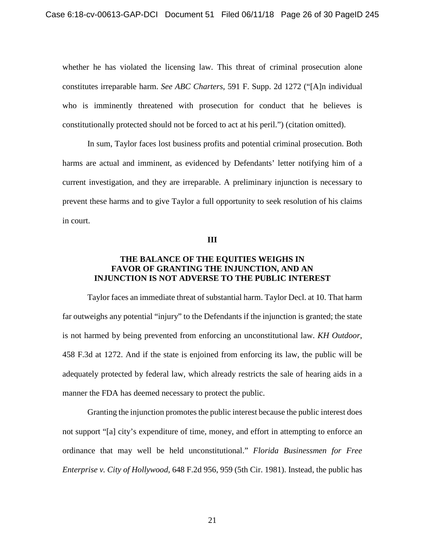whether he has violated the licensing law. This threat of criminal prosecution alone constitutes irreparable harm. *See ABC Charters*, 591 F. Supp. 2d 1272 ("[A]n individual who is imminently threatened with prosecution for conduct that he believes is constitutionally protected should not be forced to act at his peril.") (citation omitted).

In sum, Taylor faces lost business profits and potential criminal prosecution. Both harms are actual and imminent, as evidenced by Defendants' letter notifying him of a current investigation, and they are irreparable. A preliminary injunction is necessary to prevent these harms and to give Taylor a full opportunity to seek resolution of his claims in court.

**III**

#### <span id="page-25-0"></span>**THE BALANCE OF THE EQUITIES WEIGHS IN FAVOR OF GRANTING THE INJUNCTION, AND AN INJUNCTION IS NOT ADVERSE TO THE PUBLIC INTEREST**

Taylor faces an immediate threat of substantial harm. Taylor Decl. at 10. That harm far outweighs any potential "injury" to the Defendants if the injunction is granted; the state is not harmed by being prevented from enforcing an unconstitutional law. *KH Outdoor*, 458 F.3d at 1272. And if the state is enjoined from enforcing its law, the public will be adequately protected by federal law, which already restricts the sale of hearing aids in a manner the FDA has deemed necessary to protect the public.

Granting the injunction promotes the public interest because the public interest does not support "[a] city's expenditure of time, money, and effort in attempting to enforce an ordinance that may well be held unconstitutional." *Florida Businessmen for Free Enterprise v. City of Hollywood*, 648 F.2d 956, 959 (5th Cir. 1981). Instead, the public has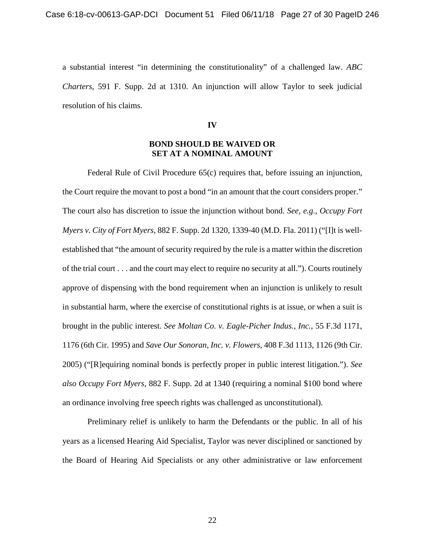a substantial interest "in determining the constitutionality" of a challenged law. *ABC Charters*, 591 F. Supp. 2d at 1310. An injunction will allow Taylor to seek judicial resolution of his claims.

**IV**

## **BOND SHOULD BE WAIVED OR SET AT A NOMINAL AMOUNT**

<span id="page-26-0"></span>Federal Rule of Civil Procedure 65(c) requires that, before issuing an injunction, the Court require the movant to post a bond "in an amount that the court considers proper." The court also has discretion to issue the injunction without bond. *See, e.g.*, *Occupy Fort Myers v. City of Fort Myers*, 882 F. Supp. 2d 1320, 1339-40 (M.D. Fla. 2011) ("[I]t is wellestablished that "the amount of security required by the rule is a matter within the discretion of the trial court . . . and the court may elect to require no security at all."). Courts routinely approve of dispensing with the bond requirement when an injunction is unlikely to result in substantial harm, where the exercise of constitutional rights is at issue, or when a suit is brought in the public interest. *See Moltan Co. v. Eagle-Picher Indus., Inc.*, 55 F.3d 1171, 1176 (6th Cir. 1995) and *Save Our Sonoran, Inc. v. Flowers*, 408 F.3d 1113, 1126 (9th Cir. 2005) ("[R]equiring nominal bonds is perfectly proper in public interest litigation."). *See also Occupy Fort Myers*, 882 F. Supp. 2d at 1340 (requiring a nominal \$100 bond where an ordinance involving free speech rights was challenged as unconstitutional).

Preliminary relief is unlikely to harm the Defendants or the public. In all of his years as a licensed Hearing Aid Specialist, Taylor was never disciplined or sanctioned by the Board of Hearing Aid Specialists or any other administrative or law enforcement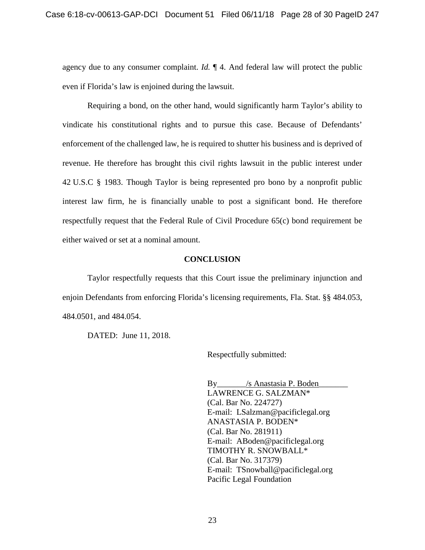agency due to any consumer complaint. *Id.* ¶ 4. And federal law will protect the public even if Florida's law is enjoined during the lawsuit.

Requiring a bond, on the other hand, would significantly harm Taylor's ability to vindicate his constitutional rights and to pursue this case. Because of Defendants' enforcement of the challenged law, he is required to shutter his business and is deprived of revenue. He therefore has brought this civil rights lawsuit in the public interest under 42 U.S.C § 1983. Though Taylor is being represented pro bono by a nonprofit public interest law firm, he is financially unable to post a significant bond. He therefore respectfully request that the Federal Rule of Civil Procedure 65(c) bond requirement be either waived or set at a nominal amount.

#### **CONCLUSION**

<span id="page-27-0"></span>Taylor respectfully requests that this Court issue the preliminary injunction and enjoin Defendants from enforcing Florida's licensing requirements, Fla. Stat. §§ 484.053, 484.0501, and 484.054.

DATED: June 11, 2018.

Respectfully submitted:

By\_\_\_\_\_\_\_/s Anastasia P. Boden\_\_\_\_\_\_\_ LAWRENCE G. SALZMAN\* (Cal. Bar No. 224727) E-mail: LSalzman@pacificlegal.org ANASTASIA P. BODEN\* (Cal. Bar No. 281911) E-mail: ABoden@pacificlegal.org TIMOTHY R. SNOWBALL\* (Cal. Bar No. 317379) E-mail: TSnowball@pacificlegal.org Pacific Legal Foundation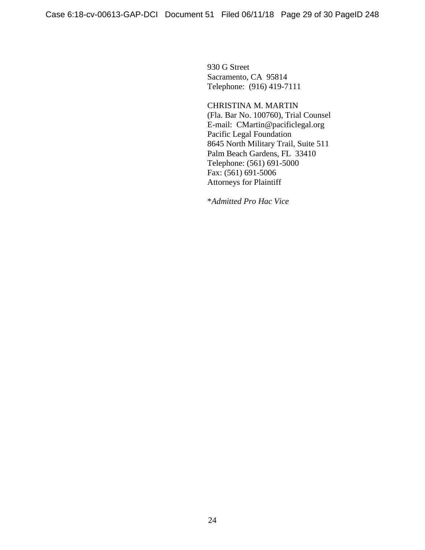930 G Street Sacramento, CA 95814 Telephone: (916) 419-7111

CHRISTINA M. MARTIN (Fla. Bar No. 100760), Trial Counsel E-mail: CMartin@pacificlegal.org Pacific Legal Foundation 8645 North Military Trail, Suite 511 Palm Beach Gardens, FL 33410 Telephone: (561) 691-5000 Fax: (561) 691-5006 Attorneys for Plaintiff

\**Admitted Pro Hac Vice*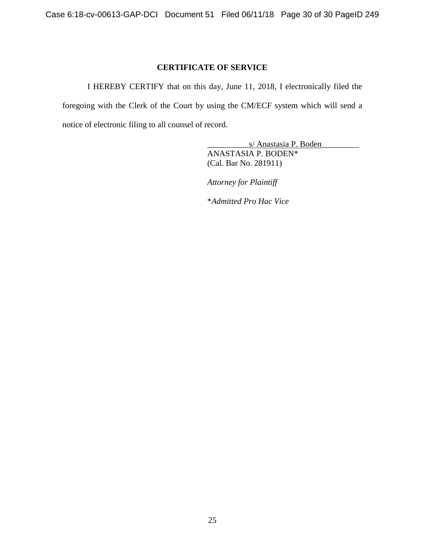# **CERTIFICATE OF SERVICE**

<span id="page-29-0"></span>I HEREBY CERTIFY that on this day, June 11, 2018, I electronically filed the foregoing with the Clerk of the Court by using the CM/ECF system which will send a notice of electronic filing to all counsel of record.

> \_\_\_\_\_\_\_\_\_\_s/ Anastasia P. Boden\_\_\_\_\_\_\_\_\_ ANASTASIA P. BODEN\* (Cal. Bar No. 281911)

*Attorney for Plaintiff*

\**Admitted Pro Hac Vice*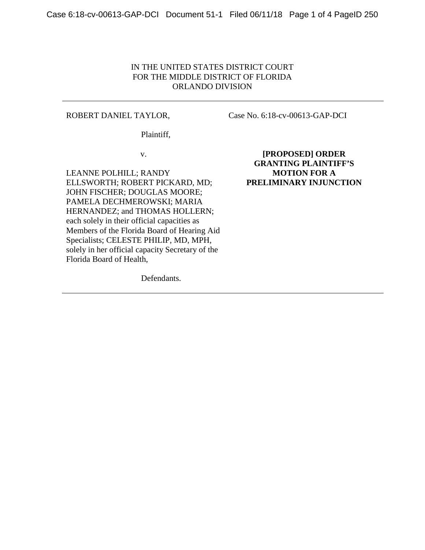## IN THE UNITED STATES DISTRICT COURT FOR THE MIDDLE DISTRICT OF FLORIDA ORLANDO DIVISION

#### ROBERT DANIEL TAYLOR,

Case No. 6:18-cv-00613-GAP-DCI

Plaintiff,

v.

LEANNE POLHILL; RANDY ELLSWORTH; ROBERT PICKARD, MD; JOHN FISCHER; DOUGLAS MOORE; PAMELA DECHMEROWSKI; MARIA HERNANDEZ; and THOMAS HOLLERN; each solely in their official capacities as Members of the Florida Board of Hearing Aid Specialists; CELESTE PHILIP, MD, MPH, solely in her official capacity Secretary of the Florida Board of Health,

Defendants.

**[PROPOSED] ORDER GRANTING PLAINTIFF'S MOTION FOR A PRELIMINARY INJUNCTION**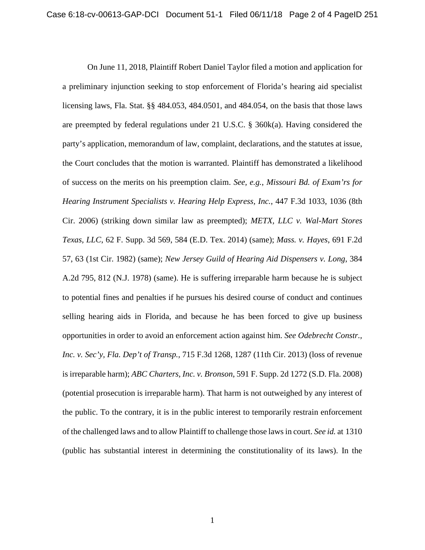On June 11, 2018, Plaintiff Robert Daniel Taylor filed a motion and application for a preliminary injunction seeking to stop enforcement of Florida's hearing aid specialist licensing laws, Fla. Stat. §§ 484.053, 484.0501, and 484.054, on the basis that those laws are preempted by federal regulations under 21 U.S.C. § 360k(a). Having considered the party's application, memorandum of law, complaint, declarations, and the statutes at issue, the Court concludes that the motion is warranted. Plaintiff has demonstrated a likelihood of success on the merits on his preemption claim. *See, e.g.*, *Missouri Bd. of Exam'rs for Hearing Instrument Specialists v. Hearing Help Express, Inc.*, 447 F.3d 1033, 1036 (8th Cir. 2006) (striking down similar law as preempted); *METX, LLC v. Wal-Mart Stores Texas, LLC*, 62 F. Supp. 3d 569, 584 (E.D. Tex. 2014) (same); *Mass. v. Hayes*, 691 F.2d 57, 63 (1st Cir. 1982) (same); *New Jersey Guild of Hearing Aid Dispensers v. Long*, 384 A.2d 795, 812 (N.J. 1978) (same). He is suffering irreparable harm because he is subject to potential fines and penalties if he pursues his desired course of conduct and continues selling hearing aids in Florida, and because he has been forced to give up business opportunities in order to avoid an enforcement action against him. *See Odebrecht Constr., Inc. v. Sec'y, Fla. Dep't of Transp.,* 715 F.3d 1268, 1287 (11th Cir. 2013) (loss of revenue is irreparable harm); *ABC Charters, Inc. v. Bronson*, 591 F. Supp. 2d 1272 (S.D. Fla. 2008) (potential prosecution is irreparable harm). That harm is not outweighed by any interest of the public. To the contrary, it is in the public interest to temporarily restrain enforcement of the challenged laws and to allow Plaintiff to challenge those laws in court. *See id.* at 1310 (public has substantial interest in determining the constitutionality of its laws). In the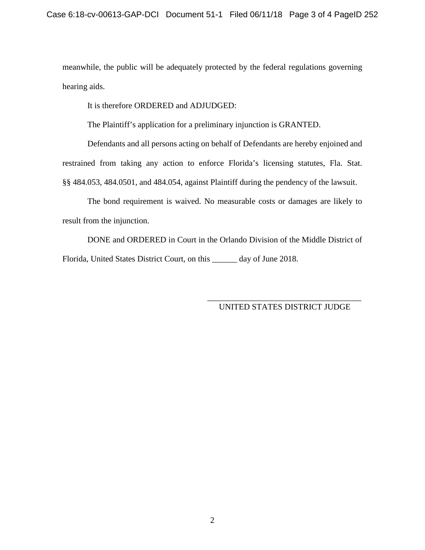meanwhile, the public will be adequately protected by the federal regulations governing hearing aids.

It is therefore ORDERED and ADJUDGED:

The Plaintiff's application for a preliminary injunction is GRANTED.

Defendants and all persons acting on behalf of Defendants are hereby enjoined and restrained from taking any action to enforce Florida's licensing statutes, Fla. Stat. §§ 484.053, 484.0501, and 484.054, against Plaintiff during the pendency of the lawsuit.

The bond requirement is waived. No measurable costs or damages are likely to result from the injunction.

DONE and ORDERED in Court in the Orlando Division of the Middle District of Florida, United States District Court, on this \_\_\_\_\_\_ day of June 2018.

> \_\_\_\_\_\_\_\_\_\_\_\_\_\_\_\_\_\_\_\_\_\_\_\_\_\_\_\_\_\_\_\_\_\_\_\_\_ UNITED STATES DISTRICT JUDGE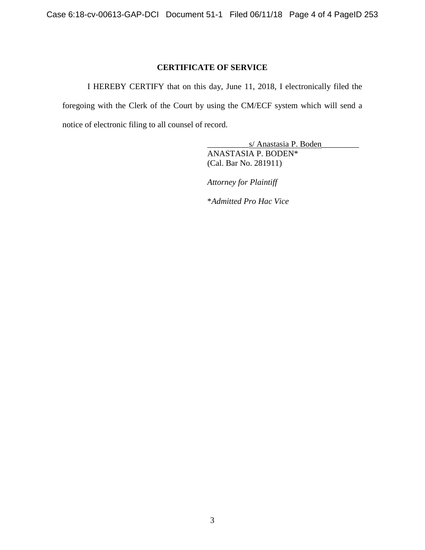#### **CERTIFICATE OF SERVICE**

I HEREBY CERTIFY that on this day, June 11, 2018, I electronically filed the foregoing with the Clerk of the Court by using the CM/ECF system which will send a notice of electronic filing to all counsel of record.

> \_\_\_\_\_\_\_\_\_\_s/ Anastasia P. Boden\_\_\_\_\_\_\_\_\_ ANASTASIA P. BODEN\* (Cal. Bar No. 281911)

*Attorney for Plaintiff*

\**Admitted Pro Hac Vice*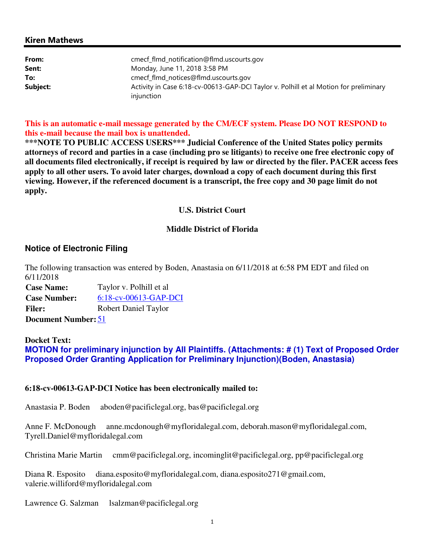## Kiren Mathews

| From:    | cmecf_flmd_notification@flmd.uscourts.gov                                             |
|----------|---------------------------------------------------------------------------------------|
| Sent:    | Monday, June 11, 2018 3:58 PM                                                         |
| To:      | cmecf_flmd_notices@flmd.uscourts.gov                                                  |
| Subject: | Activity in Case 6:18-cv-00613-GAP-DCI Taylor v. Polhill et al Motion for preliminary |
|          | injunction                                                                            |

**This is an automatic e-mail message generated by the CM/ECF system. Please DO NOT RESPOND to this e-mail because the mail box is unattended.** 

**\*\*\*NOTE TO PUBLIC ACCESS USERS\*\*\* Judicial Conference of the United States policy permits attorneys of record and parties in a case (including pro se litigants) to receive one free electronic copy of all documents filed electronically, if receipt is required by law or directed by the filer. PACER access fees apply to all other users. To avoid later charges, download a copy of each document during this first viewing. However, if the referenced document is a transcript, the free copy and 30 page limit do not apply.**

#### **U.S. District Court**

#### **Middle District of Florida**

#### **Notice of Electronic Filing**

The following transaction was entered by Boden, Anastasia on 6/11/2018 at 6:58 PM EDT and filed on 6/11/2018

**Case Name:** Taylor v. Polhill et al **Case Number:** 6:18-cv-00613-GAP-DCI **Filer:** Robert Daniel Taylor **Document Number:** 51

## **Docket Text: MOTION for preliminary injunction by All Plaintiffs. (Attachments: # (1) Text of Proposed Order Proposed Order Granting Application for Preliminary Injunction)(Boden, Anastasia)**

#### **6:18-cv-00613-GAP-DCI Notice has been electronically mailed to:**

Anastasia P. Boden aboden@pacificlegal.org, bas@pacificlegal.org

Anne F. McDonough anne.mcdonough@myfloridalegal.com, deborah.mason@myfloridalegal.com, Tyrell.Daniel@myfloridalegal.com

Christina Marie Martin cmm@pacificlegal.org, incominglit@pacificlegal.org, pp@pacificlegal.org

Diana R. Esposito diana.esposito@myfloridalegal.com, diana.esposito271@gmail.com, valerie.williford@myfloridalegal.com

Lawrence G. Salzman lsalzman@pacificlegal.org